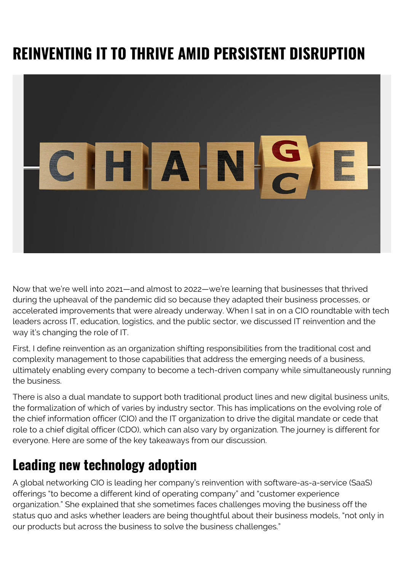# **REINVENTING IT TO THRIVE AMID PERSISTENT DISRUPTION**



Now that we're well into 2021—and almost to 2022—we're learning that businesses that thrived during the upheaval of the pandemic did so because they adapted their business processes, or accelerated improvements that were already underway. When I sat in on a CIO roundtable with tech leaders across IT, education, logistics, and the public sector, we discussed IT reinvention and the way it's changing the role of IT.

First, I define reinvention as an organization shifting responsibilities from the traditional cost and complexity management to those capabilities that address the emerging needs of a business, ultimately enabling every company to become a tech-driven company while simultaneously running the business.

There is also a dual mandate to support both traditional product lines and new digital business units, the formalization of which of varies by industry sector. This has implications on the evolving role of the chief information officer (CIO) and the IT organization to drive the digital mandate or cede that role to a chief digital officer (CDO), which can also vary by organization. The journey is different for everyone. Here are some of the key takeaways from our discussion.

#### **Leading new technology adoption**

A global networking CIO is leading her company's reinvention with software-as-a-service (SaaS) offerings "to become a different kind of operating company" and "customer experience organization." She explained that she sometimes faces challenges moving the business off the status quo and asks whether leaders are being thoughtful about their business models, "not only in our products but across the business to solve the business challenges."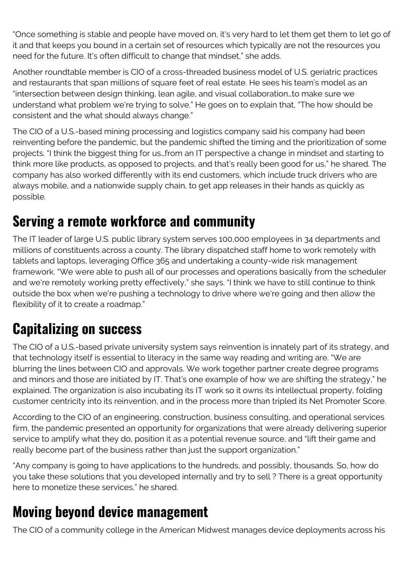"Once something is stable and people have moved on, it's very hard to let them get them to let go of it and that keeps you bound in a certain set of resources which typically are not the resources you need for the future. It's often difficult to change that mindset," she adds.

Another roundtable member is CIO of a cross-threaded business model of U.S. geriatric practices and restaurants that span millions of square feet of real estate. He sees his team's model as an "intersection between design thinking, lean agile, and visual collaboration…to make sure we understand what problem we're trying to solve." He goes on to explain that, "The how should be consistent and the what should always change."

The CIO of a U.S.-based mining processing and logistics company said his company had been reinventing before the pandemic, but the pandemic shifted the timing and the prioritization of some projects. "I think the biggest thing for us…from an IT perspective a change in mindset and starting to think more like products, as opposed to projects, and that's really been good for us," he shared. The company has also worked differently with its end customers, which include truck drivers who are always mobile, and a nationwide supply chain, to get app releases in their hands as quickly as possible.

### **Serving a remote workforce and community**

The IT leader of large U.S. public library system serves 100,000 employees in 34 departments and millions of constituents across a county. The library dispatched staff home to work remotely with tablets and laptops, leveraging Office 365 and undertaking a county-wide risk management framework. "We were able to push all of our processes and operations basically from the scheduler and we're remotely working pretty effectively," she says. "I think we have to still continue to think outside the box when we're pushing a technology to drive where we're going and then allow the flexibility of it to create a roadmap."

## **Capitalizing on success**

The CIO of a U.S.-based private university system says reinvention is innately part of its strategy, and that technology itself is essential to literacy in the same way reading and writing are. "We are blurring the lines between CIO and approvals. We work together partner create degree programs and minors and those are initiated by IT. That's one example of how we are shifting the strategy," he explained. The organization is also incubating its IT work so it owns its intellectual property, folding customer centricity into its reinvention, and in the process more than tripled its Net Promoter Score.

According to the CIO of an engineering, construction, business consulting, and operational services firm, the pandemic presented an opportunity for organizations that were already delivering superior service to amplify what they do, position it as a potential revenue source, and "lift their game and really become part of the business rather than just the support organization."

"Any company is going to have applications to the hundreds, and possibly, thousands. So, how do you take these solutions that you developed internally and try to sell ? There is a great opportunity here to monetize these services," he shared.

#### **Moving beyond device management**

The CIO of a community college in the American Midwest manages device deployments across his